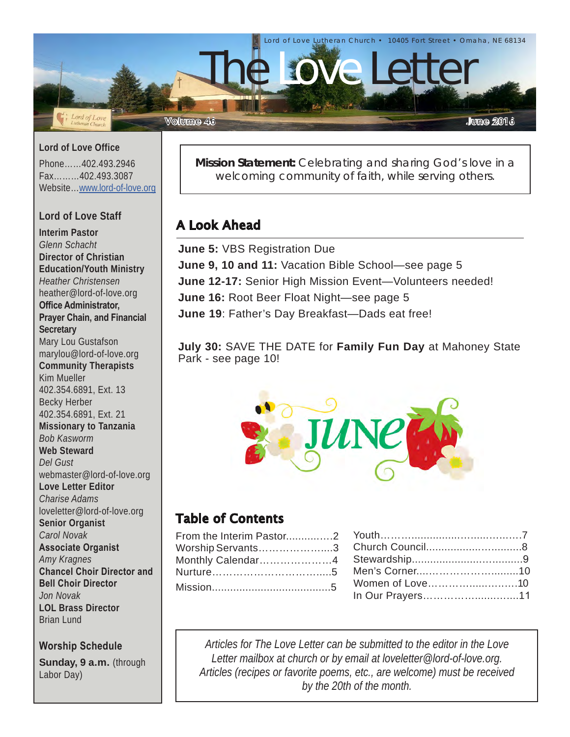

**Lord of Love Office**

Phone……402.493.2946 Fax………402.493.3087 Website…[www.lord-of-love.org](http://www.lord-of-love.org)

#### **Lord of Love Staff**

**Interim Pastor** *Glenn Schacht* **Director of Christian Education/Youth Ministry** *Heather Christensen* heather@lord-of-love.org **Office Administrator, Prayer Chain, and Financial Secretary** Mary Lou Gustafson marylou@lord-of-love.org **Community Therapists** Kim Mueller 402.354.6891, Ext. 13 Becky Herber 402.354.6891, Ext. 21 **Missionary to Tanzania** *Bob Kasworm* **Web Steward** *Del Gust* webmaster@lord-of-love.org **Love Letter Editor** *Charise Adams* loveletter@lord-of-love.org **Senior Organist** *Carol Novak* **Associate Organist** *Amy Kragnes* **Chancel Choir Director and Bell Choir Director** *Jon Novak* **LOL Brass Director** Brian Lund

#### **Worship Schedule**

**Sunday, 9 a.m.** (through Labor Day)

**Mission Statement:** Celebrating and sharing God's love in a welcoming community of faith, while serving others.

## A Look Ahead

**June 5:** VBS Registration Due **June 9, 10 and 11:** Vacation Bible School—see page 5 **June 12-17:** Senior High Mission Event—Volunteers needed! **June 16:** Root Beer Float Night—see page 5 **June 19**: Father's Day Breakfast—Dads eat free!

**July 30:** SAVE THE DATE for **Family Fun Day** at Mahoney State Park - see page 10!



## Table of Contents

|  | In Our Prayers11 |  |
|--|------------------|--|

*Articles for The Love Letter can be submitted to the editor in the Love Letter mailbox at church or by email at loveletter@lord-of-love.org. Articles (recipes or favorite poems, etc., are welcome) must be received by the 20th of the month.*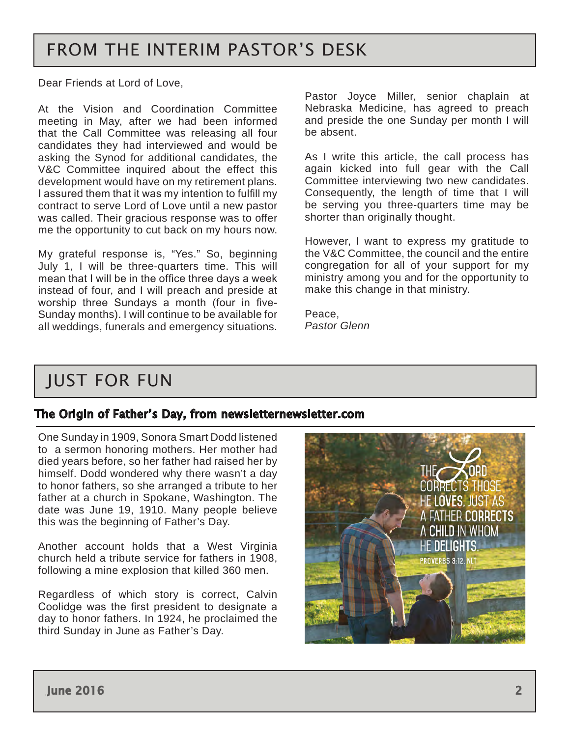## FROM THE INTERIM PASTOR'S DESK

Dear Friends at Lord of Love,

At the Vision and Coordination Committee meeting in May, after we had been informed that the Call Committee was releasing all four candidates they had interviewed and would be asking the Synod for additional candidates, the V&C Committee inquired about the effect this development would have on my retirement plans. I assured them that it was my intention to fulfill my contract to serve Lord of Love until a new pastor was called. Their gracious response was to offer me the opportunity to cut back on my hours now.

My grateful response is, "Yes." So, beginning July 1, I will be three-quarters time. This will mean that I will be in the office three days a week instead of four, and I will preach and preside at worship three Sundays a month (four in five-Sunday months). I will continue to be available for all weddings, funerals and emergency situations. Pastor Glenn

Pastor Joyce Miller, senior chaplain at Nebraska Medicine, has agreed to preach and preside the one Sunday per month I will be absent.

As I write this article, the call process has again kicked into full gear with the Call Committee interviewing two new candidates. Consequently, the length of time that I will be serving you three-quarters time may be shorter than originally thought.

However, I want to express my gratitude to the V&C Committee, the council and the entire congregation for all of your support for my ministry among you and for the opportunity to make this change in that ministry.

Peace,

## JUST FOR FUN

### The Origin of Father's Day, from newsletternewsletter.com

One Sunday in 1909, Sonora Smart Dodd listened to a sermon honoring mothers. Her mother had died years before, so her father had raised her by himself. Dodd wondered why there wasn't a day to honor fathers, so she arranged a tribute to her father at a church in Spokane, Washington. The date was June 19, 1910. Many people believe this was the beginning of Father's Day.

Another account holds that a West Virginia church held a tribute service for fathers in 1908, following a mine explosion that killed 360 men.

Regardless of which story is correct, Calvin Coolidge was the first president to designate a day to honor fathers. In 1924, he proclaimed the third Sunday in June as Father's Day.

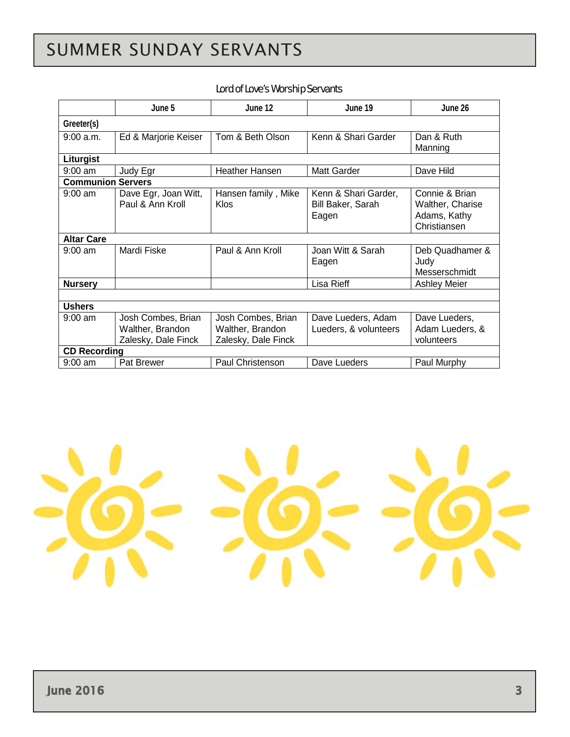# <span id="page-2-0"></span>SUMMER SUNDAY SERVANTS

#### Lord of Love's Worship Servants

|                          | June 5                                                        | June 12                                                       | June 19                                            | June 26                                                            |
|--------------------------|---------------------------------------------------------------|---------------------------------------------------------------|----------------------------------------------------|--------------------------------------------------------------------|
| Greeter(s)               |                                                               |                                                               |                                                    |                                                                    |
| 9:00a.m.                 | Ed & Marjorie Keiser                                          | Tom & Beth Olson                                              | Kenn & Shari Garder                                | Dan & Ruth<br>Manning                                              |
| Liturgist                |                                                               |                                                               |                                                    |                                                                    |
| $9:00$ am                | Judy Egr                                                      | <b>Heather Hansen</b>                                         | Matt Garder                                        | Dave Hild                                                          |
| <b>Communion Servers</b> |                                                               |                                                               |                                                    |                                                                    |
| $9:00$ am                | Dave Egr, Joan Witt,<br>Paul & Ann Kroll                      | Hansen family, Mike<br><b>Klos</b>                            | Kenn & Shari Garder,<br>Bill Baker, Sarah<br>Eagen | Connie & Brian<br>Walther, Charise<br>Adams, Kathy<br>Christiansen |
| <b>Altar Care</b>        |                                                               |                                                               |                                                    |                                                                    |
| $9:00$ am                | Mardi Fiske                                                   | Paul & Ann Kroll                                              | Joan Witt & Sarah<br>Eagen                         | Deb Quadhamer &<br>Judy<br>Messerschmidt                           |
| <b>Nursery</b>           |                                                               |                                                               | Lisa Rieff                                         | <b>Ashley Meier</b>                                                |
|                          |                                                               |                                                               |                                                    |                                                                    |
| <b>Ushers</b>            |                                                               |                                                               |                                                    |                                                                    |
| $9:00$ am                | Josh Combes, Brian<br>Walther, Brandon<br>Zalesky, Dale Finck | Josh Combes, Brian<br>Walther, Brandon<br>Zalesky, Dale Finck | Dave Lueders, Adam<br>Lueders, & volunteers        | Dave Lueders,<br>Adam Lueders, &<br>volunteers                     |
| <b>CD Recording</b>      |                                                               |                                                               |                                                    |                                                                    |
| $9:00$ am                | Pat Brewer                                                    | Paul Christenson                                              | Dave Lueders                                       | Paul Murphy                                                        |

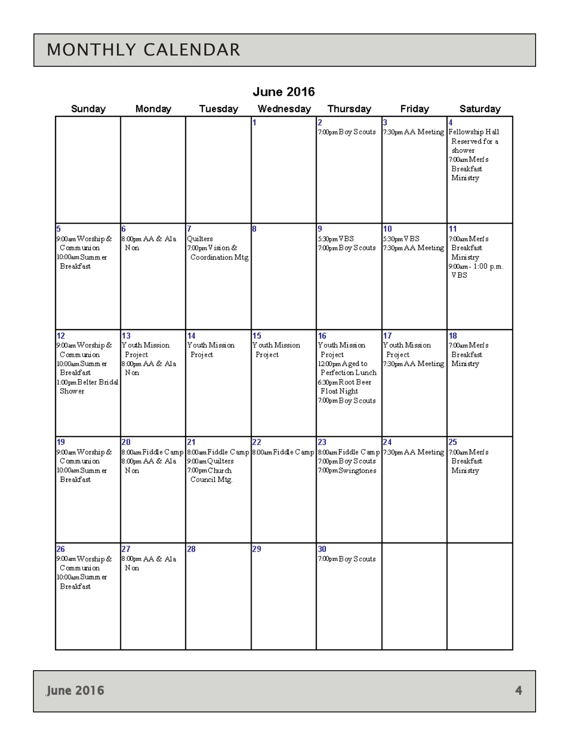# <span id="page-3-0"></span>MONTHLY CALENDAR

| Sunday                                                                                                       | Monday                                                    | Tuesday                                                | Wednesday                       | Thursday                                                                                                                                 | Friday                                              | Saturday                                                                        |
|--------------------------------------------------------------------------------------------------------------|-----------------------------------------------------------|--------------------------------------------------------|---------------------------------|------------------------------------------------------------------------------------------------------------------------------------------|-----------------------------------------------------|---------------------------------------------------------------------------------|
|                                                                                                              |                                                           |                                                        | 1                               | 2<br>7:00pm B oy Scouts                                                                                                                  | 3.<br>7:30pm AA Meeting Fellowship Hall             | 4<br>Reserved for a<br>shower<br>7:00am Merls<br><b>Breakfast</b><br>Ministry   |
| 5<br>9:00 am Worship &<br>Communion<br>10:00am Summ er<br><b>Breakfast</b>                                   | 6<br>8:00pm AA & Ala<br>Non                               | 7<br>Ouilters<br>7:00pm V ision &<br>Coordination Mtg. | 8                               | 9<br>5:30pm VBS<br>7:00pm B oy S couts                                                                                                   | 10<br>5:30pm V BS<br>7:30pm AA Meeting              | 11<br>7:00am Merls<br><b>Breakfast</b><br>Ministry<br>9:00am - 1:00 p.m.<br>VBS |
| 12<br>9:00 am Worship &<br>Communion<br>10:00am Summ er<br><b>Breakfast</b><br>1:00pmBelter Bridal<br>Shower | 13<br>Y outh Mission<br>Project<br>8:00pm AA & A1a<br>Non | 14<br>Youth Mission<br>Project                         | 15<br>Y outh Mission<br>Project | 16<br>Youth Mission<br>Project<br>12:00pm Aged to<br>Perfection Lunch<br>6:30pm Root Beer<br>Float Night<br>7:00pm B oy S couts          | 17<br>Youth Mission<br>Project<br>7:30pm AA Meeting | 18<br>7:00am Merls<br><b>Breakfast</b><br>Ministry                              |
| 19<br>9:00 am Worship &<br>Communion<br>10:00am Summ er<br><b>Breakfast</b>                                  | 20<br>8:00am Fiddle Camp<br>8:00pm AA & Ala<br>Non        | 21<br>9:00am Quilters<br>7:00pmChurch<br>Council Mtg.  | 22                              | 23<br>8:00am Fiddle Camp 8:00am Fiddle Camp 8:00am Fiddle Camp 7:30pm AA Meeting 7:00am Merls<br>7:00pm B oy S couts<br>7:00pmSwingtones | 24                                                  | 25<br><b>Breakfast</b><br>Ministry                                              |
| 26<br>9:00 am Worship &<br>Communion<br>10:00am Summ er<br><b>Breakfast</b>                                  | 27<br>8:00pm AA & Ala<br>Non                              | 28                                                     | 29                              | 30<br>7:00pm B oy S couts                                                                                                                |                                                     |                                                                                 |

## **June 2016**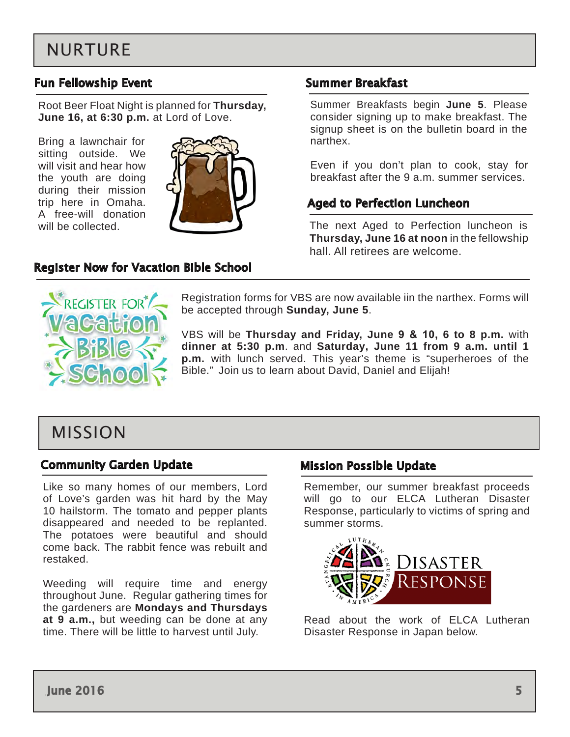## <span id="page-4-0"></span>NURTURE

### Fun Fellowship Event

Root Beer Float Night is planned for **Thursday, June 16, at 6:30 p.m.** at Lord of Love.

Bring a lawnchair for sitting outside. We will visit and hear how the youth are doing during their mission trip here in Omaha. A free-will donation will be collected.



#### Register Now for Vacation Bible School

#### Summer Breakfast

Summer Breakfasts begin **June 5**. Please consider signing up to make breakfast. The signup sheet is on the bulletin board in the narthex.

Even if you don't plan to cook, stay for breakfast after the 9 a.m. summer services.

#### Aged to Perfection Luncheon

The next Aged to Perfection luncheon is **Thursday, June 16 at noon** in the fellowship hall. All retirees are welcome.



Registration forms for VBS are now available iin the narthex. Forms will be accepted through **Sunday, June 5**.

VBS will be **Thursday and Friday, June 9 & 10, 6 to 8 p.m.** with **dinner at 5:30 p.m**. and **Saturday, June 11 from 9 a.m. until 1 p.m.** with lunch served. This year's theme is "superheroes of the Bible." Join us to learn about David, Daniel and Elijah!

## MISSION

#### Community Garden Update

Like so many homes of our members, Lord of Love's garden was hit hard by the May 10 hailstorm. The tomato and pepper plants disappeared and needed to be replanted. The potatoes were beautiful and should come back. The rabbit fence was rebuilt and restaked.

Weeding will require time and energy throughout June. Regular gathering times for the gardeners are **Mondays and Thursdays at 9 a.m.,** but weeding can be done at any time. There will be little to harvest until July.

#### Mission Possible Update

Remember, our summer breakfast proceeds will go to our ELCA Lutheran Disaster Response, particularly to victims of spring and summer storms.



Read about the work of ELCA Lutheran Disaster Response in Japan below.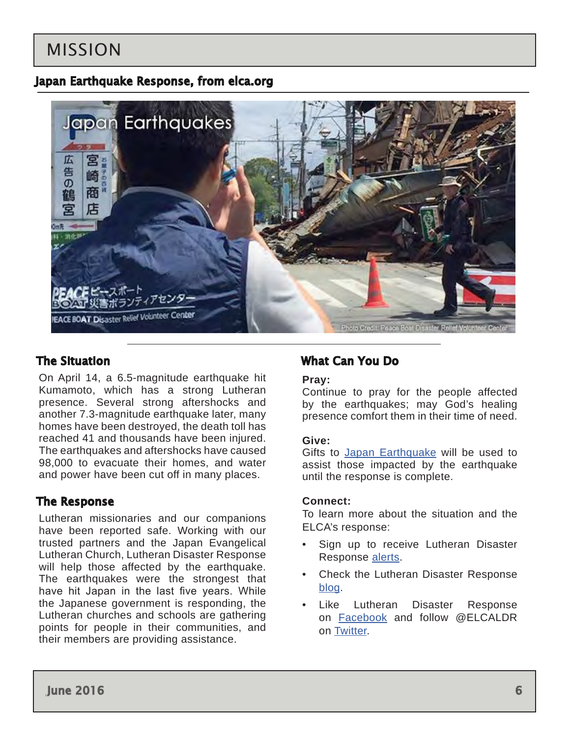## MISSION

### Japan Earthquake Response, from elca.org



### The Situation

On April 14, a 6.5-magnitude earthquake hit Kumamoto, which has a strong Lutheran presence. Several strong aftershocks and another 7.3-magnitude earthquake later, many homes have been destroyed, the death toll has reached 41 and thousands have been injured. The earthquakes and aftershocks have caused 98,000 to evacuate their homes, and water and power have been cut off in many places.

### The Response

Lutheran missionaries and our companions have been reported safe. Working with our trusted partners and the Japan Evangelical Lutheran Church, Lutheran Disaster Response will help those affected by the earthquake. The earthquakes were the strongest that have hit Japan in the last five years. While the Japanese government is responding, the Lutheran churches and schools are gathering points for people in their communities, and their members are providing assistance.

### What Can You Do

#### **Pray:**

Continue to pray for the people affected by the earthquakes; may God's healing presence comfort them in their time of need.

#### **Give:**

Gifts to [Japan Earthquake](https://community.elca.org/donations/japan-earthquake) will be used to assist those impacted by the earthquake until the response is complete.

#### **Connect:**

To learn more about the situation and the ELCA's response:

- Sign up to receive Lutheran Disaster Response [alerts](http://listserv.elca.org/cgi-bin/wa.exe?SUBED1=DISASTER&A=1).
- Check the Lutheran Disaster Response [blog](http://blogs.elca.org/disasterresponse/).
- Like Lutheran Disaster Response on [Facebook](https://www.facebook.com/LutheranDisasterResponse) and follow @ELCALDR on [Twitter](https://twitter.com/elcaldr).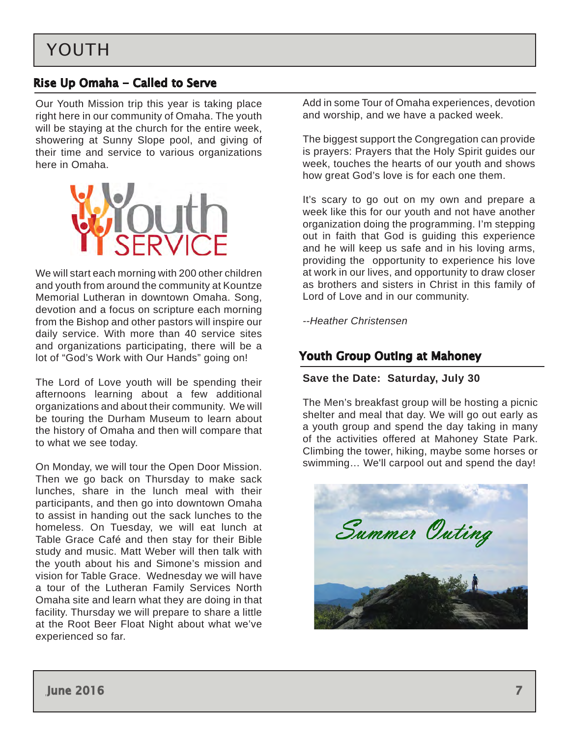## <span id="page-6-0"></span>Rise Up Omaha - Called to Serve

Our Youth Mission trip this year is taking place right here in our community of Omaha. The youth will be staying at the church for the entire week, showering at Sunny Slope pool, and giving of their time and service to various organizations here in Omaha.



We will start each morning with 200 other children and youth from around the community at Kountze Memorial Lutheran in downtown Omaha. Song, devotion and a focus on scripture each morning from the Bishop and other pastors will inspire our daily service. With more than 40 service sites and organizations participating, there will be a lot of "God's Work with Our Hands" going on!

The Lord of Love youth will be spending their afternoons learning about a few additional organizations and about their community. We will be touring the Durham Museum to learn about the history of Omaha and then will compare that to what we see today.

On Monday, we will tour the Open Door Mission. Then we go back on Thursday to make sack lunches, share in the lunch meal with their participants, and then go into downtown Omaha to assist in handing out the sack lunches to the homeless. On Tuesday, we will eat lunch at Table Grace Café and then stay for their Bible study and music. Matt Weber will then talk with the youth about his and Simone's mission and vision for Table Grace. Wednesday we will have a tour of the Lutheran Family Services North Omaha site and learn what they are doing in that facility. Thursday we will prepare to share a little at the Root Beer Float Night about what we've experienced so far.

Add in some Tour of Omaha experiences, devotion and worship, and we have a packed week.

The biggest support the Congregation can provide is prayers: Prayers that the Holy Spirit guides our week, touches the hearts of our youth and shows how great God's love is for each one them.

It's scary to go out on my own and prepare a week like this for our youth and not have another organization doing the programming. I'm stepping out in faith that God is guiding this experience and he will keep us safe and in his loving arms, providing the opportunity to experience his love at work in our lives, and opportunity to draw closer as brothers and sisters in Christ in this family of Lord of Love and in our community.

*--Heather Christensen*

## Youth Group Outing at Mahoney

#### **Save the Date: Saturday, July 30**

The Men's breakfast group will be hosting a picnic shelter and meal that day. We will go out early as a youth group and spend the day taking in many of the activities offered at Mahoney State Park. Climbing the tower, hiking, maybe some horses or swimming… We'll carpool out and spend the day!

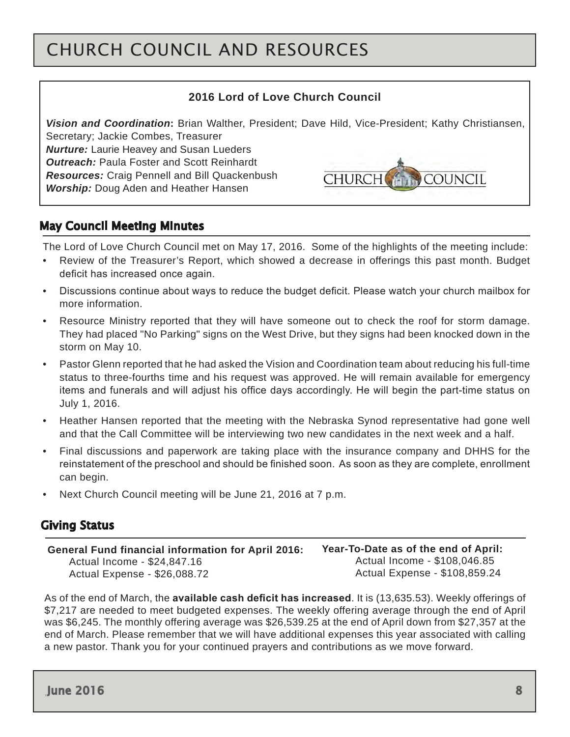# <span id="page-7-0"></span>CHURCH COUNCIL AND RESOURCES

#### **2016 Lord of Love Church Council**

*Vision and Coordination***:** Brian Walther, President; Dave Hild, Vice-President; Kathy Christiansen, Secretary; Jackie Combes, Treasurer

*Nurture:* Laurie Heavey and Susan Lueders *Outreach:* Paula Foster and Scott Reinhardt *Resources:* Craig Pennell and Bill Quackenbush *Worship:* Doug Aden and Heather Hansen



### May Council Meeting Minutes

The Lord of Love Church Council met on May 17, 2016. Some of the highlights of the meeting include:

- Review of the Treasurer's Report, which showed a decrease in offerings this past month. Budget deficit has increased once again.
- Discussions continue about ways to reduce the budget deficit. Please watch your church mailbox for more information.
- Resource Ministry reported that they will have someone out to check the roof for storm damage. They had placed "No Parking" signs on the West Drive, but they signs had been knocked down in the storm on May 10.
- Pastor Glenn reported that he had asked the Vision and Coordination team about reducing his full-time status to three-fourths time and his request was approved. He will remain available for emergency items and funerals and will adjust his office days accordingly. He will begin the part-time status on July 1, 2016.
- Heather Hansen reported that the meeting with the Nebraska Synod representative had gone well and that the Call Committee will be interviewing two new candidates in the next week and a half.
- Final discussions and paperwork are taking place with the insurance company and DHHS for the reinstatement of the preschool and should be finished soon. As soon as they are complete, enrollment can begin.
- Next Church Council meeting will be June 21, 2016 at 7 p.m.

### Giving Status

 **General Fund financial information for April 2016:**  Actual Income - \$24,847.16 Actual Expense - \$26,088.72

**Year-To-Date as of the end of April:** Actual Income - \$108,046.85 Actual Expense - \$108,859.24

As of the end of March, the **available cash deficit has increased**. It is (13,635.53). Weekly offerings of \$7,217 are needed to meet budgeted expenses. The weekly offering average through the end of April was \$6,245. The monthly offering average was \$26,539.25 at the end of April down from \$27,357 at the end of March. Please remember that we will have additional expenses this year associated with calling a new pastor. Thank you for your continued prayers and contributions as we move forward.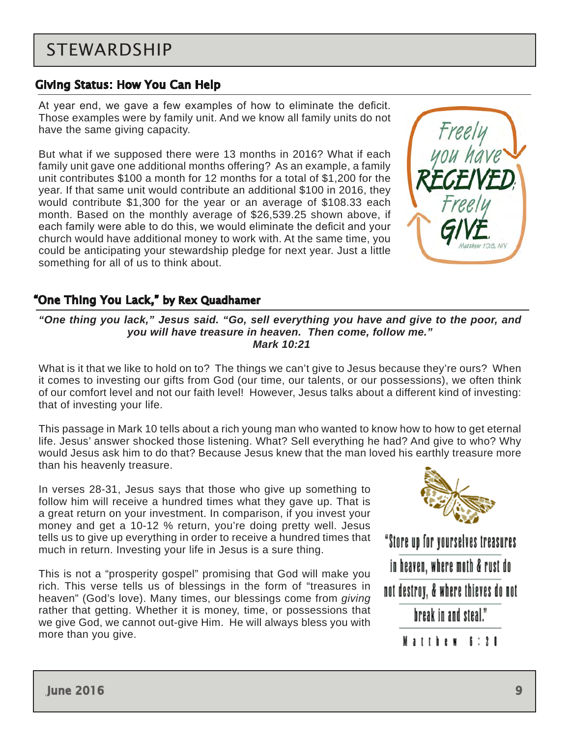## <span id="page-8-0"></span>STEWARDSHIP

### Giving Status: How You Can Help

At year end, we gave a few examples of how to eliminate the deficit. Those examples were by family unit. And we know all family units do not have the same giving capacity.

But what if we supposed there were 13 months in 2016? What if each family unit gave one additional months offering? As an example, a family unit contributes \$100 a month for 12 months for a total of \$1,200 for the year. If that same unit would contribute an additional \$100 in 2016, they would contribute \$1,300 for the year or an average of \$108.33 each month. Based on the monthly average of \$26,539.25 shown above, if each family were able to do this, we would eliminate the deficit and your church would have additional money to work with. At the same time, you could be anticipating your stewardship pledge for next year. Just a little something for all of us to think about.



### "One Thing You Lack," by Rex Quadhamer

*"One thing you lack," Jesus said. "Go, sell everything you have and give to the poor, and you will have treasure in heaven. Then come, follow me." Mark 10:21*

What is it that we like to hold on to? The things we can't give to Jesus because they're ours? When it comes to investing our gifts from God (our time, our talents, or our possessions), we often think of our comfort level and not our faith level! However, Jesus talks about a different kind of investing: that of investing your life.

This passage in Mark 10 tells about a rich young man who wanted to know how to how to get eternal life. Jesus' answer shocked those listening. What? Sell everything he had? And give to who? Why would Jesus ask him to do that? Because Jesus knew that the man loved his earthly treasure more than his heavenly treasure.

In verses 28-31, Jesus says that those who give up something to follow him will receive a hundred times what they gave up. That is a great return on your investment. In comparison, if you invest your money and get a 10-12 % return, you're doing pretty well. Jesus tells us to give up everything in order to receive a hundred times that much in return. Investing your life in Jesus is a sure thing.

This is not a "prosperity gospel" promising that God will make you rich. This verse tells us of blessings in the form of "treasures in heaven" (God's love). Many times, our blessings come from *giving* rather that getting. Whether it is money, time, or possessions that we give God, we cannot out-give Him. He will always bless you with more than you give.



"Store up for yourselves treasures in heaven, where moth & rust do not destroy, & where thieves do not hreak in and steal." Matthew 8:20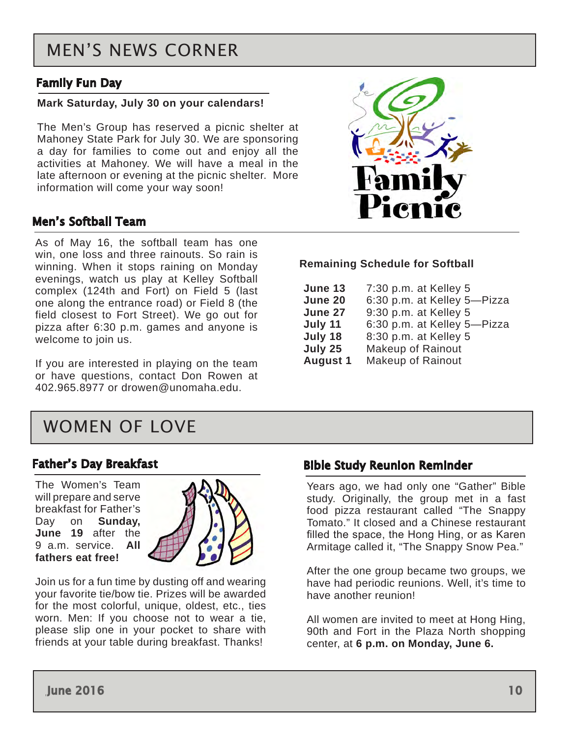## <span id="page-9-0"></span>MEN'S NEWS CORNER

### Family Fun Day

#### **Mark Saturday, July 30 on your calendars!**

The Men's Group has reserved a picnic shelter at Mahoney State Park for July 30. We are sponsoring a day for families to come out and enjoy all the activities at Mahoney. We will have a meal in the late afternoon or evening at the picnic shelter. More information will come your way soon!

### Men's Softball Team

As of May 16, the softball team has one win, one loss and three rainouts. So rain is winning. When it stops raining on Monday evenings, watch us play at Kelley Softball complex (124th and Fort) on Field 5 (last one along the entrance road) or Field 8 (the field closest to Fort Street). We go out for pizza after 6:30 p.m. games and anyone is welcome to join us.

If you are interested in playing on the team or have questions, contact Don Rowen at 402.965.8977 or drowen@unomaha.edu.

## WOMEN OF LOVE

#### Father's Day Breakfast

The Women's Team will prepare and serve breakfast for Father's Day on **Sunday**, **June 19** after the 9 a.m. service. **All fathers eat free!**



Join us for a fun time by dusting off and wearing your favorite tie/bow tie. Prizes will be awarded for the most colorful, unique, oldest, etc., ties worn. Men: If you choose not to wear a tie, please slip one in your pocket to share with friends at your table during breakfast. Thanks!



#### **Remaining Schedule for Softball**

| June 13         | 7:30 p.m. at Kelley 5       |
|-----------------|-----------------------------|
| June 20         | 6:30 p.m. at Kelley 5-Pizza |
| June 27         | 9:30 p.m. at Kelley 5       |
| July 11         | 6:30 p.m. at Kelley 5-Pizza |
| July 18         | 8:30 p.m. at Kelley 5       |
| July 25         | <b>Makeup of Rainout</b>    |
| <b>August 1</b> | <b>Makeup of Rainout</b>    |

#### Bible Study Reunion Reminder

Years ago, we had only one "Gather" Bible study. Originally, the group met in a fast food pizza restaurant called "The Snappy Tomato." It closed and a Chinese restaurant filled the space, the Hong Hing, or as Karen Armitage called it, "The Snappy Snow Pea."

After the one group became two groups, we have had periodic reunions. Well, it's time to have another reunion!

All women are invited to meet at Hong Hing, 90th and Fort in the Plaza North shopping center, at **6 p.m. on Monday, June 6.**